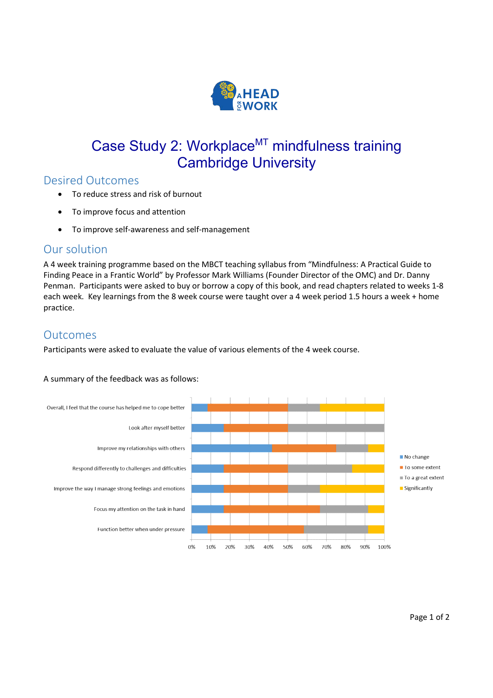

# Case Study 2: Workplace<sup>MT</sup> mindfulness training Cambridge University

## Desired Outcomes

- To reduce stress and risk of burnout
- To improve focus and attention
- To improve self-awareness and self-management

### Our solution

A 4 week training programme based on the MBCT teaching syllabus from "Mindfulness: A Practical Guide to Finding Peace in a Frantic World" by Professor Mark Williams (Founder Director of the OMC) and Dr. Danny Penman. Participants were asked to buy or borrow a copy of this book, and read chapters related to weeks 1-8 each week. Key learnings from the 8 week course were taught over a 4 week period 1.5 hours a week + home practice.

### Outcomes

Participants were asked to evaluate the value of various elements of the 4 week course.

#### A summary of the feedback was as follows: